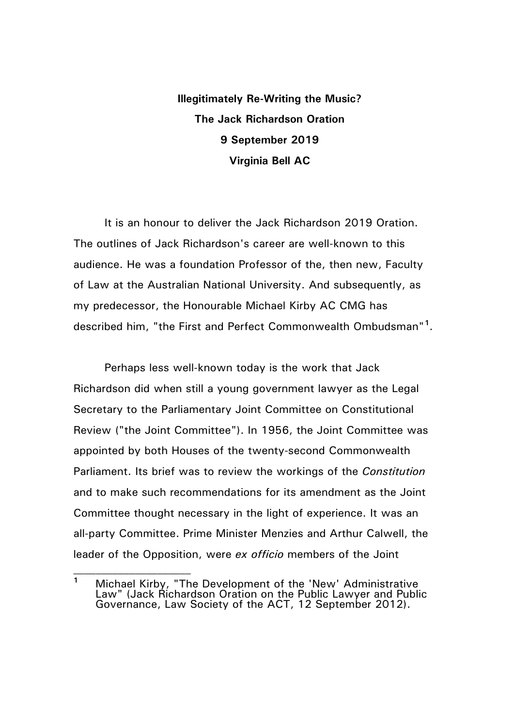**Illegitimately Re-Writing the Music? The Jack Richardson Oration 9 September 2019 Virginia Bell AC**

It is an honour to deliver the Jack Richardson 2019 Oration. The outlines of Jack Richardson's career are well-known to this audience. He was a foundation Professor of the, then new, Faculty of Law at the Australian National University. And subsequently, as my predecessor, the Honourable Michael Kirby AC CMG has described him, "the First and Perfect Commonwealth Ombudsman"**[1](#page-0-0)** .

Perhaps less well-known today is the work that Jack Richardson did when still a young government lawyer as the Legal Secretary to the Parliamentary Joint Committee on Constitutional Review ("the Joint Committee"). In 1956, the Joint Committee was appointed by both Houses of the twenty-second Commonwealth Parliament. Its brief was to review the workings of the *Constitution* and to make such recommendations for its amendment as the Joint Committee thought necessary in the light of experience. It was an all-party Committee. Prime Minister Menzies and Arthur Calwell, the leader of the Opposition, were *ex officio* members of the Joint

<span id="page-0-0"></span>**<sup>1</sup>** Michael Kirby, "The Development of the 'New' Administrative Law" (Jack Richardson Oration on the Public Lawyer and Public Governance, Law Society of the ACT, 12 September 2012).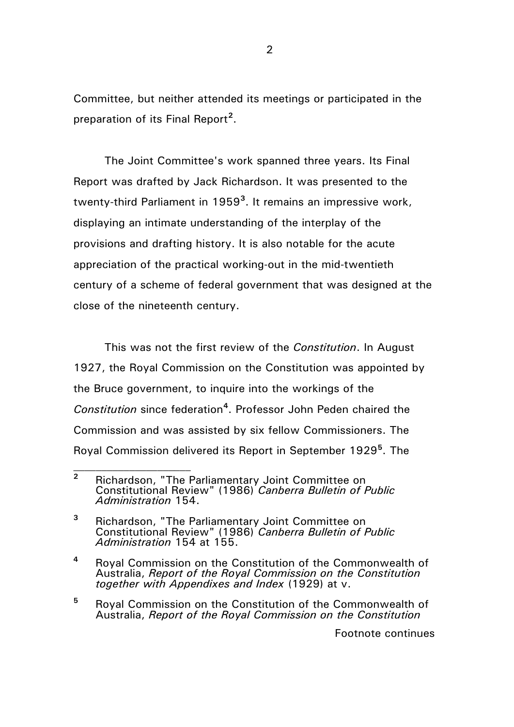Committee, but neither attended its meetings or participated in the preparation of its Final Report**[2](#page-1-0)** .

The Joint Committee's work spanned three years. Its Final Report was drafted by Jack Richardson. It was presented to the twenty-third Parliament in 1959**[3](#page-1-1)** . It remains an impressive work, displaying an intimate understanding of the interplay of the provisions and drafting history. It is also notable for the acute appreciation of the practical working-out in the mid-twentieth century of a scheme of federal government that was designed at the close of the nineteenth century.

This was not the first review of the *Constitution*. In August 1927, the Royal Commission on the Constitution was appointed by the Bruce government, to inquire into the workings of the *Constitution* since federation**[4](#page-1-2)** . Professor John Peden chaired the Commission and was assisted by six fellow Commissioners. The Royal Commission delivered its Report in September 1929**[5](#page-1-3)** . The

 $\mathcal{L}_\text{max}$ 

<span id="page-1-3"></span>**<sup>5</sup>** Royal Commission on the Constitution of the Commonwealth of Australia, *Report of the Royal Commission on the Constitution*

Footnote continues

<span id="page-1-0"></span>**<sup>2</sup>** Richardson, "The Parliamentary Joint Committee on Constitutional Review" (1986) *Canberra Bulletin of Public Administration* 154.

<span id="page-1-1"></span>**<sup>3</sup>** Richardson, "The Parliamentary Joint Committee on Constitutional Review" (1986) *Canberra Bulletin of Public Administration* 154 at 155.

<span id="page-1-2"></span>**<sup>4</sup>** Royal Commission on the Constitution of the Commonwealth of Australia, *Report of the Royal Commission on the Constitution together with Appendixes and Index* (1929) at v.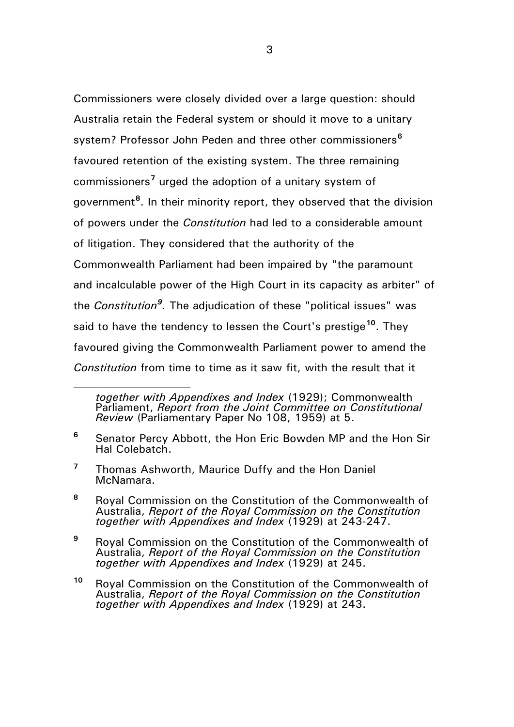Commissioners were closely divided over a large question: should Australia retain the Federal system or should it move to a unitary system? Professor John Peden and three other commissioners**[6](#page-2-0)** favoured retention of the existing system. The three remaining commissioners**[7](#page-2-1)** urged the adoption of a unitary system of government**[8](#page-2-2)** . In their minority report, they observed that the division of powers under the *Constitution* had led to a considerable amount of litigation. They considered that the authority of the Commonwealth Parliament had been impaired by "the paramount and incalculable power of the High Court in its capacity as arbiter" of the *Constitution[9](#page-2-3) .* The adjudication of these "political issues" was said to have the tendency to lessen the Court's prestige**[10](#page-2-4)**. They favoured giving the Commonwealth Parliament power to amend the *Constitution* from time to time as it saw fit, with the result that it

<span id="page-2-1"></span>**<sup>7</sup>** Thomas Ashworth, Maurice Duffy and the Hon Daniel McNamara.

- <span id="page-2-2"></span>**<sup>8</sup>** Royal Commission on the Constitution of the Commonwealth of Australia, *Report of the Royal Commission on the Constitution together with Appendixes and Index* (1929) at 243-247.
- <span id="page-2-3"></span>**<sup>9</sup>** Royal Commission on the Constitution of the Commonwealth of Australia, *Report of the Royal Commission on the Constitution together with Appendixes and Index* (1929) at 245.
- <span id="page-2-4"></span>**<sup>10</sup>** Royal Commission on the Constitution of the Commonwealth of Australia, *Report of the Royal Commission on the Constitution together with Appendixes and Index* (1929) at 243.

*together with Appendixes and Index* (1929); Commonwealth Parliament, *Report from the Joint Committee on Constitutional Review* (Parliamentary Paper No 108, 1959) at 5.

<span id="page-2-0"></span>**<sup>6</sup>** Senator Percy Abbott, the Hon Eric Bowden MP and the Hon Sir Hal Colebatch.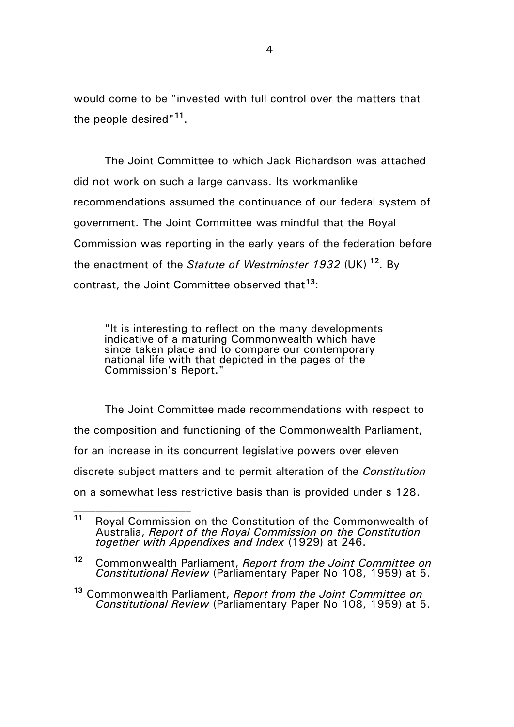would come to be "invested with full control over the matters that the people desired"**[11](#page-3-0)**.

The Joint Committee to which Jack Richardson was attached did not work on such a large canvass. Its workmanlike recommendations assumed the continuance of our federal system of government. The Joint Committee was mindful that the Royal Commission was reporting in the early years of the federation before the enactment of the *Statute of Westminster 1932* (UK) **[12](#page-3-1)**. By contrast, the Joint Committee observed that**[13](#page-3-2)**:

"It is interesting to reflect on the many developments indicative of a maturing Commonwealth which have since taken place and to compare our contemporary national life with that depicted in the pages of the Commission's Report."

The Joint Committee made recommendations with respect to the composition and functioning of the Commonwealth Parliament, for an increase in its concurrent legislative powers over eleven discrete subject matters and to permit alteration of the *Constitution*  on a somewhat less restrictive basis than is provided under s 128.

<span id="page-3-0"></span>**<sup>11</sup>** Royal Commission on the Constitution of the Commonwealth of Australia, *Report of the Royal Commission on the Constitution together with Appendixes and Index* (1929) at 246.

<span id="page-3-1"></span>**<sup>12</sup>** Commonwealth Parliament, *Report from the Joint Committee on Constitutional Review* (Parliamentary Paper No 108, 1959) at 5.

<span id="page-3-2"></span>**<sup>13</sup>** Commonwealth Parliament, *Report from the Joint Committee on Constitutional Review* (Parliamentary Paper No 108, 1959) at 5.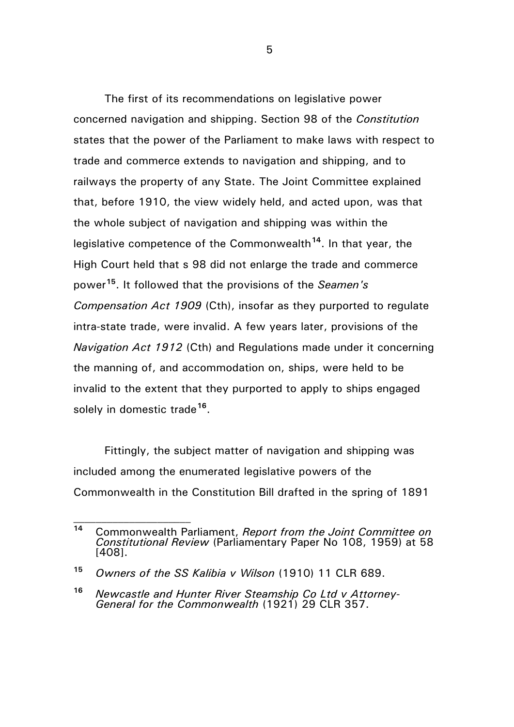The first of its recommendations on legislative power concerned navigation and shipping. Section 98 of the *Constitution*  states that the power of the Parliament to make laws with respect to trade and commerce extends to navigation and shipping, and to railways the property of any State. The Joint Committee explained that, before 1910, the view widely held, and acted upon, was that the whole subject of navigation and shipping was within the legislative competence of the Commonwealth**[14](#page-4-0)**. In that year, the High Court held that s 98 did not enlarge the trade and commerce power**[15](#page-4-1)**. It followed that the provisions of the *Seamen's Compensation Act 1909* (Cth), insofar as they purported to regulate intra-state trade, were invalid. A few years later, provisions of the *Navigation Act 1912* (Cth) and Regulations made under it concerning the manning of, and accommodation on, ships, were held to be invalid to the extent that they purported to apply to ships engaged solely in domestic trade**[16](#page-4-2)**.

Fittingly, the subject matter of navigation and shipping was included among the enumerated legislative powers of the Commonwealth in the Constitution Bill drafted in the spring of 1891

 $\mathcal{L}_\text{max}$ 

<span id="page-4-0"></span>**<sup>14</sup>** Commonwealth Parliament, *Report from the Joint Committee on Constitutional Review* (Parliamentary Paper No 108, 1959) at 58 [408].

<span id="page-4-1"></span>**<sup>15</sup>** *Owners of the SS Kalibia v Wilson* (1910) 11 CLR 689.

<span id="page-4-2"></span>**<sup>16</sup>** *Newcastle and Hunter River Steamship Co Ltd v Attorney- General for the Commonwealth* (1921) 29 CLR 357.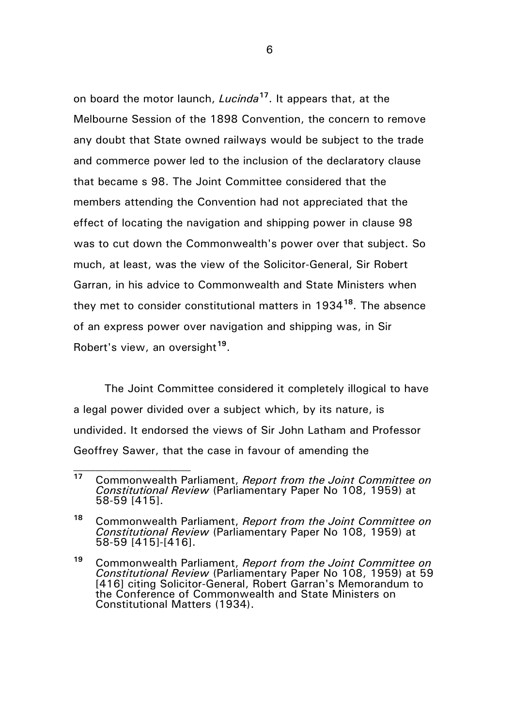on board the motor launch, *Lucinda***[17](#page-5-0)**. It appears that, at the Melbourne Session of the 1898 Convention, the concern to remove any doubt that State owned railways would be subject to the trade and commerce power led to the inclusion of the declaratory clause that became s 98. The Joint Committee considered that the members attending the Convention had not appreciated that the effect of locating the navigation and shipping power in clause 98 was to cut down the Commonwealth's power over that subject. So much, at least, was the view of the Solicitor-General, Sir Robert Garran, in his advice to Commonwealth and State Ministers when they met to consider constitutional matters in 1934**[18](#page-5-1)**. The absence of an express power over navigation and shipping was, in Sir Robert's view, an oversight**[19](#page-5-2)**.

The Joint Committee considered it completely illogical to have a legal power divided over a subject which, by its nature, is undivided. It endorsed the views of Sir John Latham and Professor Geoffrey Sawer, that the case in favour of amending the

 $\mathcal{L}_\text{max}$ 

<span id="page-5-0"></span>**<sup>17</sup>** Commonwealth Parliament, *Report from the Joint Committee on Constitutional Review* (Parliamentary Paper No 108, 1959) at 58-59 [415].

<span id="page-5-1"></span>**<sup>18</sup>** Commonwealth Parliament, *Report from the Joint Committee on Constitutional Review* (Parliamentary Paper No 108, 1959) at 58-59 [415]-[416].

<span id="page-5-2"></span>**<sup>19</sup>** Commonwealth Parliament, *Report from the Joint Committee on Constitutional Review* (Parliamentary Paper No 108, 1959) at 59 [416] citing Solicitor-General, Robert Garran's Memorandum to the Conference of Commonwealth and State Ministers on Constitutional Matters (1934).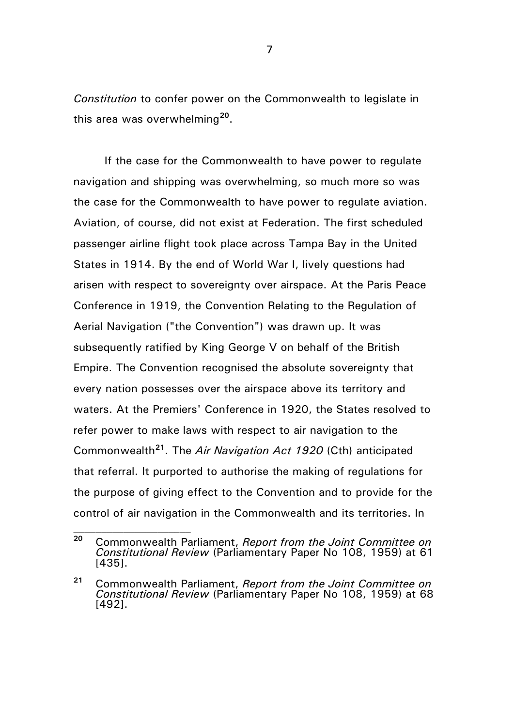*Constitution* to confer power on the Commonwealth to legislate in this area was overwhelming**[20](#page-6-0)**.

If the case for the Commonwealth to have power to regulate navigation and shipping was overwhelming, so much more so was the case for the Commonwealth to have power to regulate aviation. Aviation, of course, did not exist at Federation. The first scheduled passenger airline flight took place across Tampa Bay in the United States in 1914. By the end of World War I, lively questions had arisen with respect to sovereignty over airspace. At the Paris Peace Conference in 1919, the Convention Relating to the Regulation of Aerial Navigation ("the Convention") was drawn up. It was subsequently ratified by King George V on behalf of the British Empire. The Convention recognised the absolute sovereignty that every nation possesses over the airspace above its territory and waters. At the Premiers' Conference in 1920, the States resolved to refer power to make laws with respect to air navigation to the Commonwealth**[21](#page-6-1)**. The *Air Navigation Act 1920* (Cth) anticipated that referral. It purported to authorise the making of regulations for the purpose of giving effect to the Convention and to provide for the control of air navigation in the Commonwealth and its territories. In

<span id="page-6-0"></span>**<sup>20</sup>** Commonwealth Parliament, *Report from the Joint Committee on Constitutional Review* (Parliamentary Paper No 108, 1959) at 61 [435].

<span id="page-6-1"></span>**<sup>21</sup>** Commonwealth Parliament, *Report from the Joint Committee on Constitutional Review* (Parliamentary Paper No 108, 1959) at 68 [492].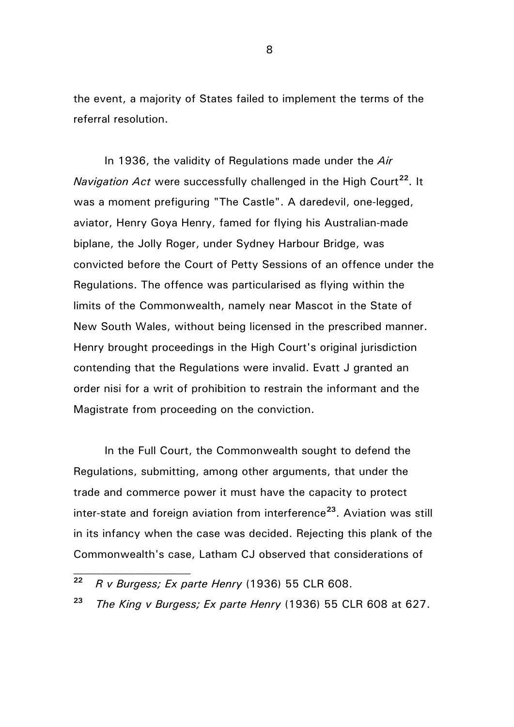the event, a majority of States failed to implement the terms of the referral resolution.

In 1936, the validity of Regulations made under the *Air Navigation Act* were successfully challenged in the High Court<sup>[22](#page-7-0)</sup>. It was a moment prefiguring "The Castle". A daredevil, one-legged, aviator, Henry Goya Henry, famed for flying his Australian-made biplane, the Jolly Roger, under Sydney Harbour Bridge, was convicted before the Court of Petty Sessions of an offence under the Regulations. The offence was particularised as flying within the limits of the Commonwealth, namely near Mascot in the State of New South Wales, without being licensed in the prescribed manner. Henry brought proceedings in the High Court's original jurisdiction contending that the Regulations were invalid. Evatt J granted an order nisi for a writ of prohibition to restrain the informant and the Magistrate from proceeding on the conviction.

In the Full Court, the Commonwealth sought to defend the Regulations, submitting, among other arguments, that under the trade and commerce power it must have the capacity to protect inter-state and foreign aviation from interference**[23](#page-7-1)**. Aviation was still in its infancy when the case was decided. Rejecting this plank of the Commonwealth's case, Latham CJ observed that considerations of

 $\mathcal{L}_\text{max}$ 

<span id="page-7-0"></span>**<sup>22</sup>** *R v Burgess; Ex parte Henry* (1936) 55 CLR 608.

<span id="page-7-1"></span>**<sup>23</sup>** *The King v Burgess; Ex parte Henry* (1936) 55 CLR 608 at 627.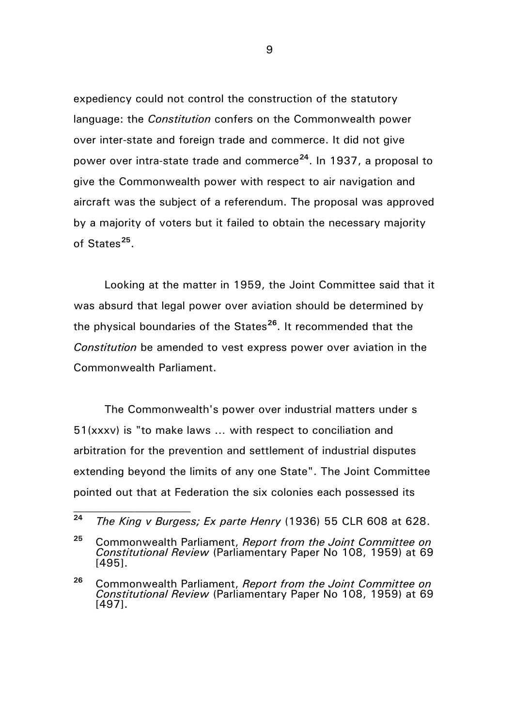expediency could not control the construction of the statutory language: the *Constitution* confers on the Commonwealth power over inter-state and foreign trade and commerce. It did not give power over intra-state trade and commerce**[24](#page-8-0)**. In 1937, a proposal to give the Commonwealth power with respect to air navigation and aircraft was the subject of a referendum. The proposal was approved by a majority of voters but it failed to obtain the necessary majority of States**[25](#page-8-1)**.

Looking at the matter in 1959, the Joint Committee said that it was absurd that legal power over aviation should be determined by the physical boundaries of the States**[26](#page-8-2)**. It recommended that the *Constitution* be amended to vest express power over aviation in the Commonwealth Parliament.

The Commonwealth's power over industrial matters under s 51(xxxv) is "to make laws … with respect to conciliation and arbitration for the prevention and settlement of industrial disputes extending beyond the limits of any one State". The Joint Committee pointed out that at Federation the six colonies each possessed its

 $\mathcal{L}_\text{max}$ 

<span id="page-8-0"></span>**<sup>24</sup>** *The King v Burgess; Ex parte Henry* (1936) 55 CLR 608 at 628.

<span id="page-8-1"></span>**<sup>25</sup>** Commonwealth Parliament, *Report from the Joint Committee on Constitutional Review* (Parliamentary Paper No 108, 1959) at 69 [495].

<span id="page-8-2"></span>**<sup>26</sup>** Commonwealth Parliament, *Report from the Joint Committee on Constitutional Review* (Parliamentary Paper No 108, 1959) at 69 [497].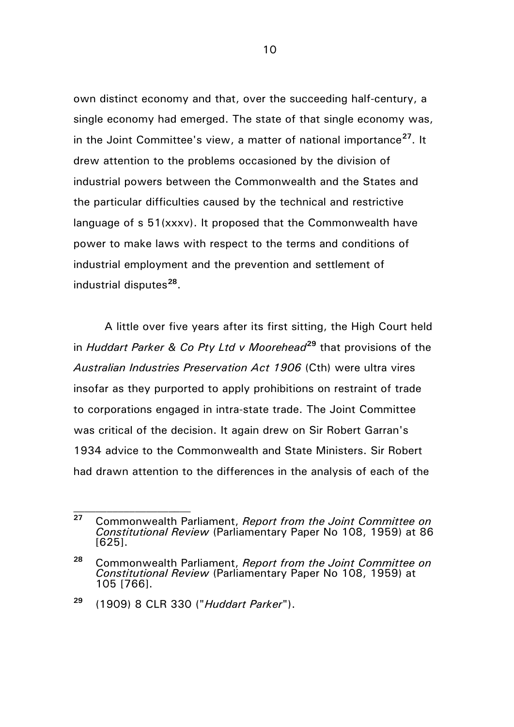own distinct economy and that, over the succeeding half-century, a single economy had emerged. The state of that single economy was, in the Joint Committee's view, a matter of national importance**[27](#page-9-0)**. It drew attention to the problems occasioned by the division of industrial powers between the Commonwealth and the States and the particular difficulties caused by the technical and restrictive language of s 51(xxxv). It proposed that the Commonwealth have power to make laws with respect to the terms and conditions of industrial employment and the prevention and settlement of industrial disputes**[28](#page-9-1)**.

A little over five years after its first sitting, the High Court held in *Huddart Parker & Co Pty Ltd v Moorehead***[29](#page-9-2)** that provisions of the *Australian Industries Preservation Act 1906* (Cth) were ultra vires insofar as they purported to apply prohibitions on restraint of trade to corporations engaged in intra-state trade. The Joint Committee was critical of the decision. It again drew on Sir Robert Garran's 1934 advice to the Commonwealth and State Ministers. Sir Robert had drawn attention to the differences in the analysis of each of the

 $\mathcal{L}_\text{max}$ 

<span id="page-9-0"></span>**<sup>27</sup>** Commonwealth Parliament, *Report from the Joint Committee on Constitutional Review* (Parliamentary Paper No 108, 1959) at 86 [625].

<span id="page-9-1"></span>**<sup>28</sup>** Commonwealth Parliament, *Report from the Joint Committee on Constitutional Review* (Parliamentary Paper No 108, 1959) at 105 [766].

<span id="page-9-2"></span>**<sup>29</sup>** (1909) 8 CLR 330 ("*Huddart Parker*").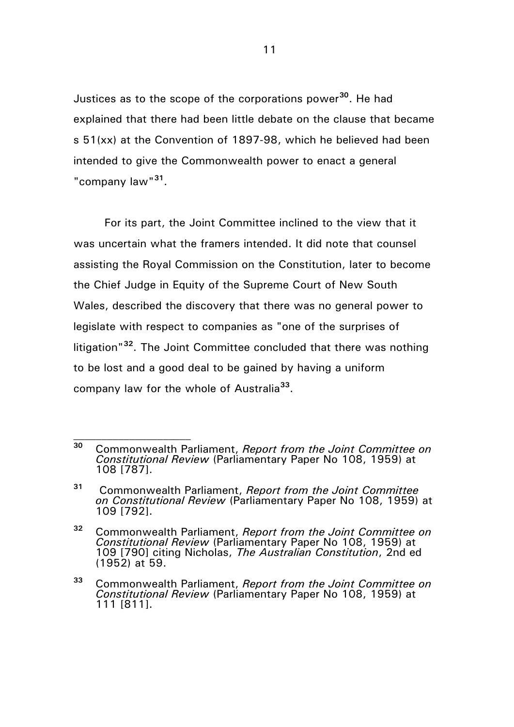Justices as to the scope of the corporations power**[30](#page-10-0)**. He had explained that there had been little debate on the clause that became s 51(xx) at the Convention of 1897-98, which he believed had been intended to give the Commonwealth power to enact a general "company law"**[31](#page-10-1)**.

For its part, the Joint Committee inclined to the view that it was uncertain what the framers intended. It did note that counsel assisting the Royal Commission on the Constitution, later to become the Chief Judge in Equity of the Supreme Court of New South Wales, described the discovery that there was no general power to legislate with respect to companies as "one of the surprises of litigation"**[32](#page-10-2)**. The Joint Committee concluded that there was nothing to be lost and a good deal to be gained by having a uniform company law for the whole of Australia**[33](#page-10-3)**.

<span id="page-10-0"></span>**<sup>30</sup>** Commonwealth Parliament, *Report from the Joint Committee on Constitutional Review* (Parliamentary Paper No 108, 1959) at 108 [787].

<span id="page-10-1"></span>**<sup>31</sup>** Commonwealth Parliament, *Report from the Joint Committee on Constitutional Review* (Parliamentary Paper No 108, 1959) at 109 [792].

<span id="page-10-2"></span>**<sup>32</sup>** Commonwealth Parliament, *Report from the Joint Committee on Constitutional Review* (Parliamentary Paper No 108, 1959) at 109 [790] citing Nicholas, *The Australian Constitution*, 2nd ed (1952) at 59.

<span id="page-10-3"></span>**<sup>33</sup>** Commonwealth Parliament, *Report from the Joint Committee on Constitutional Review* (Parliamentary Paper No 108, 1959) at 111 [811].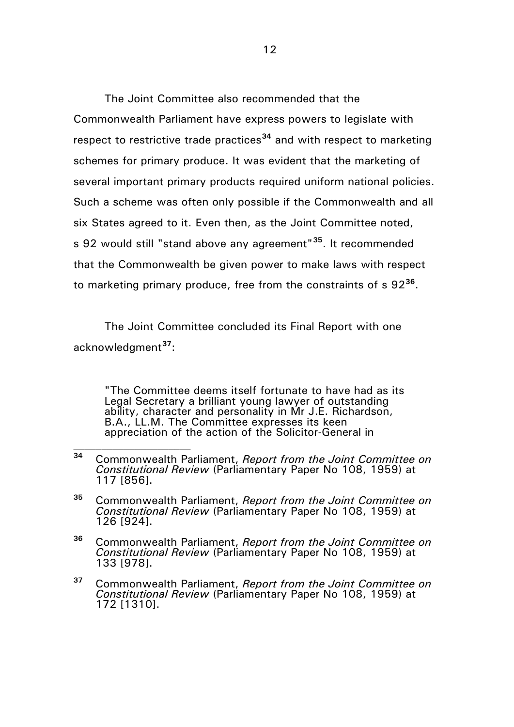The Joint Committee also recommended that the Commonwealth Parliament have express powers to legislate with respect to restrictive trade practices**[34](#page-11-0)** and with respect to marketing schemes for primary produce. It was evident that the marketing of several important primary products required uniform national policies. Such a scheme was often only possible if the Commonwealth and all six States agreed to it. Even then, as the Joint Committee noted, s 92 would still "stand above any agreement"**[35](#page-11-1)**. It recommended that the Commonwealth be given power to make laws with respect to marketing primary produce, free from the constraints of s 92**[36](#page-11-2)**.

The Joint Committee concluded its Final Report with one acknowledgment**[37](#page-11-3)**:

"The Committee deems itself fortunate to have had as its Legal Secretary a brilliant young lawyer of outstanding ability, character and personality in Mr J.E. Richardson, B.A., LL.M. The Committee expresses its keen appreciation of the action of the Solicitor-General in

<span id="page-11-0"></span>**<sup>34</sup>** Commonwealth Parliament, *Report from the Joint Committee on Constitutional Review* (Parliamentary Paper No 108, 1959) at 117 [856].

<span id="page-11-1"></span>**<sup>35</sup>** Commonwealth Parliament, *Report from the Joint Committee on Constitutional Review* (Parliamentary Paper No 108, 1959) at 126 [924].

<span id="page-11-2"></span>**<sup>36</sup>** Commonwealth Parliament, *Report from the Joint Committee on Constitutional Review* (Parliamentary Paper No 108, 1959) at 133 [978].

<span id="page-11-3"></span>**<sup>37</sup>** Commonwealth Parliament, *Report from the Joint Committee on Constitutional Review* (Parliamentary Paper No 108, 1959) at 172 [1310].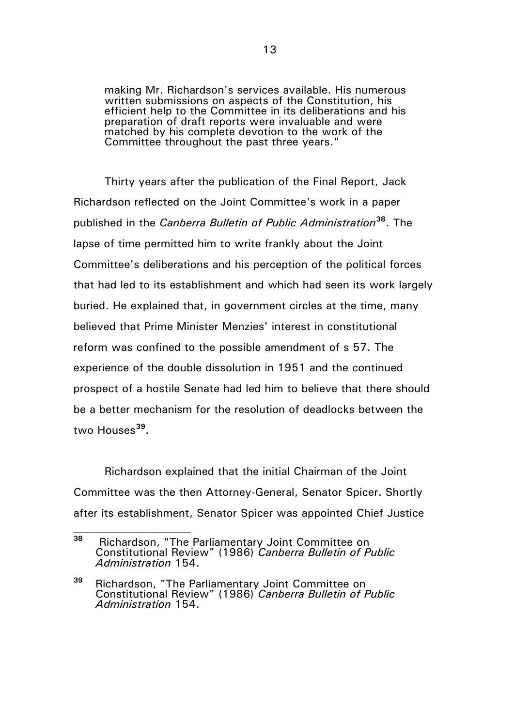making Mr. Richardson's services available. His numerous written submissions on aspects of the Constitution, his efficient help to the Committee in its deliberations and his preparation of draft reports were invaluable and were matched by his complete devotion to the work of the Committee throughout the past three years."

Thirty years after the publication of the Final Report, Jack Richardson reflected on the Joint Committee's work in a paper published in the *Canberra Bulletin of Public Administration***[38](#page-12-0)**. The lapse of time permitted him to write frankly about the Joint Committee's deliberations and his perception of the political forces that had led to its establishment and which had seen its work largely buried. He explained that, in government circles at the time, many believed that Prime Minister Menzies' interest in constitutional reform was confined to the possible amendment of s 57. The experience of the double dissolution in 1951 and the continued prospect of a hostile Senate had led him to believe that there should be a better mechanism for the resolution of deadlocks between the two Houses**[39](#page-12-1)**.

Richardson explained that the initial Chairman of the Joint Committee was the then Attorney-General, Senator Spicer. Shortly after its establishment, Senator Spicer was appointed Chief Justice

<span id="page-12-0"></span>**<sup>38</sup>** Richardson, "The Parliamentary Joint Committee on Constitutional Review" (1986) *Canberra Bulletin of Public Administration* 154.

<span id="page-12-1"></span>**<sup>39</sup>** Richardson, "The Parliamentary Joint Committee on Constitutional Review" (1986) *Canberra Bulletin of Public Administration* 154.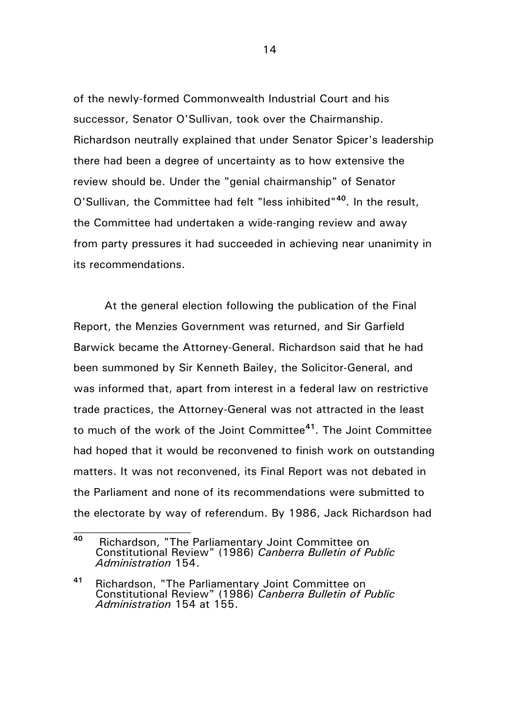of the newly-formed Commonwealth Industrial Court and his successor, Senator O'Sullivan, took over the Chairmanship. Richardson neutrally explained that under Senator Spicer's leadership there had been a degree of uncertainty as to how extensive the review should be. Under the "genial chairmanship" of Senator O'Sullivan, the Committee had felt "less inhibited"**[40](#page-13-0)**. In the result, the Committee had undertaken a wide-ranging review and away from party pressures it had succeeded in achieving near unanimity in its recommendations.

At the general election following the publication of the Final Report, the Menzies Government was returned, and Sir Garfield Barwick became the Attorney-General. Richardson said that he had been summoned by Sir Kenneth Bailey, the Solicitor-General, and was informed that, apart from interest in a federal law on restrictive trade practices, the Attorney-General was not attracted in the least to much of the work of the Joint Committee**[41](#page-13-1)**. The Joint Committee had hoped that it would be reconvened to finish work on outstanding matters. It was not reconvened, its Final Report was not debated in the Parliament and none of its recommendations were submitted to the electorate by way of referendum. By 1986, Jack Richardson had

<span id="page-13-0"></span>**<sup>40</sup>** Richardson, "The Parliamentary Joint Committee on Constitutional Review" (1986) *Canberra Bulletin of Public Administration* 154.

<span id="page-13-1"></span>**<sup>41</sup>** Richardson, "The Parliamentary Joint Committee on Constitutional Review" (1986) *Canberra Bulletin of Public Administration* 154 at 155.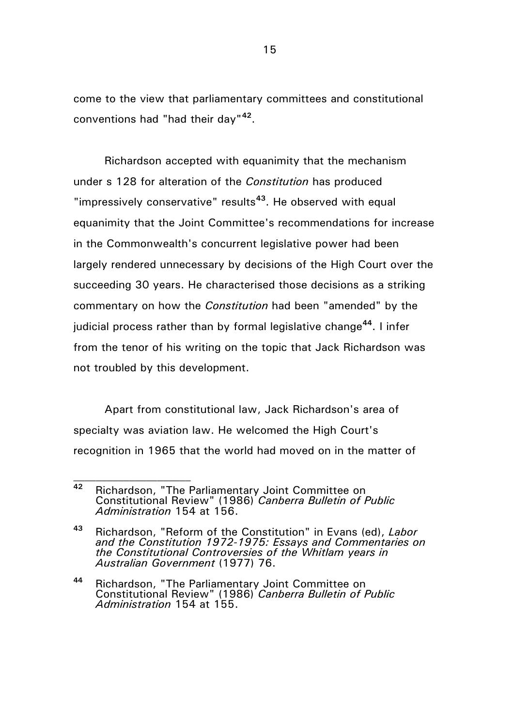come to the view that parliamentary committees and constitutional conventions had "had their day"**[42](#page-14-0)**.

Richardson accepted with equanimity that the mechanism under s 128 for alteration of the *Constitution* has produced "impressively conservative" results**[43](#page-14-1)**. He observed with equal equanimity that the Joint Committee's recommendations for increase in the Commonwealth's concurrent legislative power had been largely rendered unnecessary by decisions of the High Court over the succeeding 30 years. He characterised those decisions as a striking commentary on how the *Constitution* had been "amended" by the judicial process rather than by formal legislative change**[44](#page-14-2)**. I infer from the tenor of his writing on the topic that Jack Richardson was not troubled by this development.

Apart from constitutional law, Jack Richardson's area of specialty was aviation law. He welcomed the High Court's recognition in 1965 that the world had moved on in the matter of

<span id="page-14-0"></span>**<sup>42</sup>** Richardson, "The Parliamentary Joint Committee on Constitutional Review" (1986) *Canberra Bulletin of Public Administration* 154 at 156.

<span id="page-14-1"></span>**<sup>43</sup>** Richardson, "Reform of the Constitution" in Evans (ed), *Labor and the Constitution 1972-1975: Essays and Commentaries on the Constitutional Controversies of the Whitlam years in Australian Government* (1977) 76.

<span id="page-14-2"></span>**<sup>44</sup>** Richardson, "The Parliamentary Joint Committee on Constitutional Review" (1986) *Canberra Bulletin of Public Administration* 154 at 155.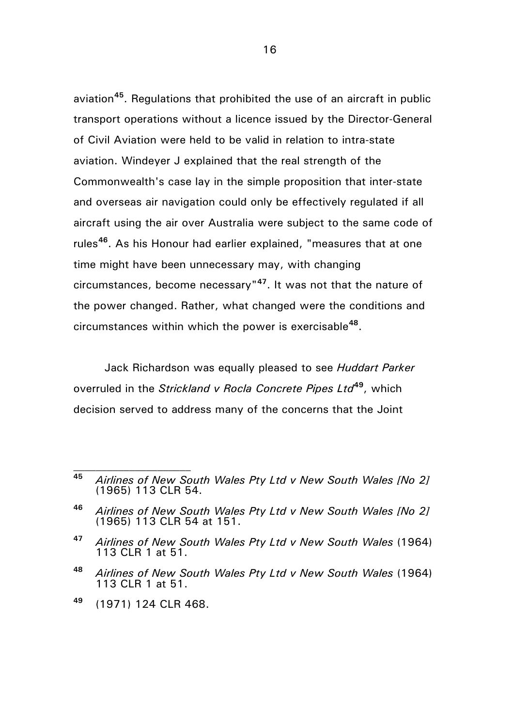aviation**[45](#page-15-0)**. Regulations that prohibited the use of an aircraft in public transport operations without a licence issued by the Director-General of Civil Aviation were held to be valid in relation to intra-state aviation. Windeyer J explained that the real strength of the Commonwealth's case lay in the simple proposition that inter-state and overseas air navigation could only be effectively regulated if all aircraft using the air over Australia were subject to the same code of rules**[46](#page-15-1)**. As his Honour had earlier explained, "measures that at one time might have been unnecessary may, with changing circumstances, become necessary"**[47](#page-15-2)**. It was not that the nature of the power changed. Rather, what changed were the conditions and circumstances within which the power is exercisable**[48](#page-15-3)**.

Jack Richardson was equally pleased to see *Huddart Parker* overruled in the *Strickland v Rocla Concrete Pipes Ltd***[49](#page-15-4)**, which decision served to address many of the concerns that the Joint

<span id="page-15-0"></span>**<sup>45</sup>** *Airlines of New South Wales Pty Ltd v New South Wales [No 2]* (1965) 113 CLR 54.

<span id="page-15-1"></span>**<sup>46</sup>** *Airlines of New South Wales Pty Ltd v New South Wales [No 2]* (1965) 113 CLR 54 at 151.

<span id="page-15-2"></span>**<sup>47</sup>** *Airlines of New South Wales Pty Ltd v New South Wales* (1964) 113 CLR 1 at 51.

<span id="page-15-3"></span>**<sup>48</sup>** *Airlines of New South Wales Pty Ltd v New South Wales* (1964) 113 CLR 1 at 51.

<span id="page-15-4"></span>**<sup>49</sup>** (1971) 124 CLR 468.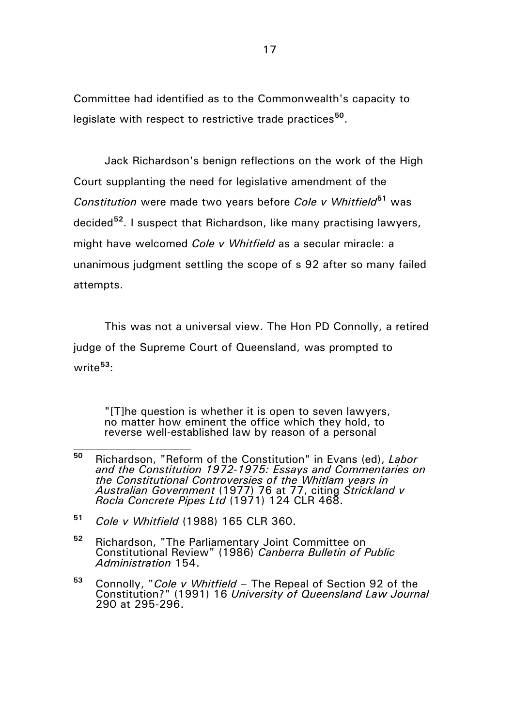Committee had identified as to the Commonwealth's capacity to legislate with respect to restrictive trade practices**[50](#page-16-0)**.

Jack Richardson's benign reflections on the work of the High Court supplanting the need for legislative amendment of the *Constitution* were made two years before *Cole v Whitfield***[51](#page-16-1)** was decided**[52](#page-16-2)**. I suspect that Richardson, like many practising lawyers, might have welcomed *Cole v Whitfield* as a secular miracle: a unanimous judgment settling the scope of s 92 after so many failed attempts.

This was not a universal view. The Hon PD Connolly, a retired judge of the Supreme Court of Queensland, was prompted to write**[53](#page-16-3)**:

"[T]he question is whether it is open to seven lawyers, no matter how eminent the office which they hold, to reverse well-established law by reason of a personal

- <span id="page-16-2"></span>**<sup>52</sup>** Richardson, "The Parliamentary Joint Committee on Constitutional Review" (1986) *Canberra Bulletin of Public Administration* 154.
- <span id="page-16-3"></span>**<sup>53</sup>** Connolly, "*Cole v Whitfield* – The Repeal of Section 92 of the Constitution?" (1991) 16 *University of Queensland Law Journal* 290 at 295-296.

<span id="page-16-0"></span>**<sup>50</sup>** Richardson, "Reform of the Constitution" in Evans (ed), *Labor and the Constitution 1972-1975: Essays and Commentaries on the Constitutional Controversies of the Whitlam years in Australian Government* (1977) 76 at 77, citing *Strickland v Rocla Concrete Pipes Ltd* (1971) 124 CLR 468.

<span id="page-16-1"></span>**<sup>51</sup>** *Cole v Whitfield* (1988) 165 CLR 360.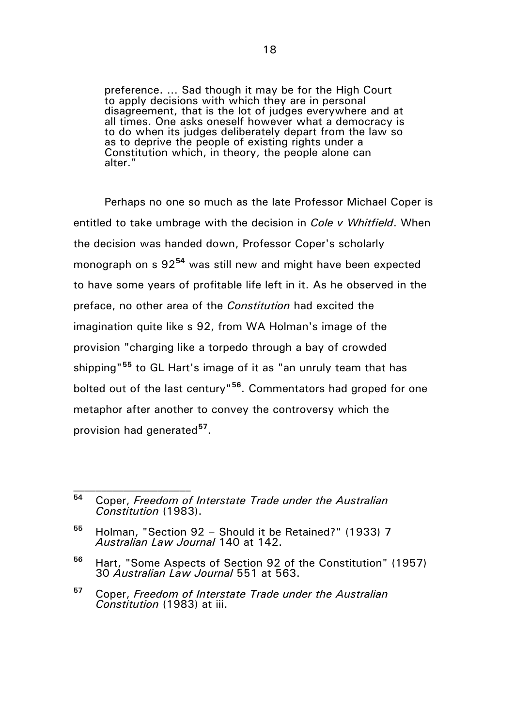preference. … Sad though it may be for the High Court to apply decisions with which they are in personal disagreement, that is the lot of judges everywhere and at all times. One asks oneself however what a democracy is to do when its judges deliberately depart from the law so as to deprive the people of existing rights under a Constitution which, in theory, the people alone can alter."

Perhaps no one so much as the late Professor Michael Coper is entitled to take umbrage with the decision in *Cole v Whitfield*. When the decision was handed down, Professor Coper's scholarly monograph on s 92**[54](#page-17-0)** was still new and might have been expected to have some years of profitable life left in it. As he observed in the preface, no other area of the *Constitution* had excited the imagination quite like s 92, from WA Holman's image of the provision "charging like a torpedo through a bay of crowded shipping"**[55](#page-17-1)** to GL Hart's image of it as "an unruly team that has bolted out of the last century"**[56](#page-17-2)**. Commentators had groped for one metaphor after another to convey the controversy which the provision had generated**[57](#page-17-3)**.

<span id="page-17-0"></span>**<sup>54</sup>** Coper, *Freedom of Interstate Trade under the Australian Constitution* (1983).

<span id="page-17-1"></span>**<sup>55</sup>** Holman, "Section 92 – Should it be Retained?" (1933) 7 *Australian Law Journal* 140 at 142.

<span id="page-17-2"></span>**<sup>56</sup>** Hart, "Some Aspects of Section 92 of the Constitution" (1957) 30 *Australian Law Journal* 551 at 563.

<span id="page-17-3"></span>**<sup>57</sup>** Coper, *Freedom of Interstate Trade under the Australian Constitution* (1983) at iii.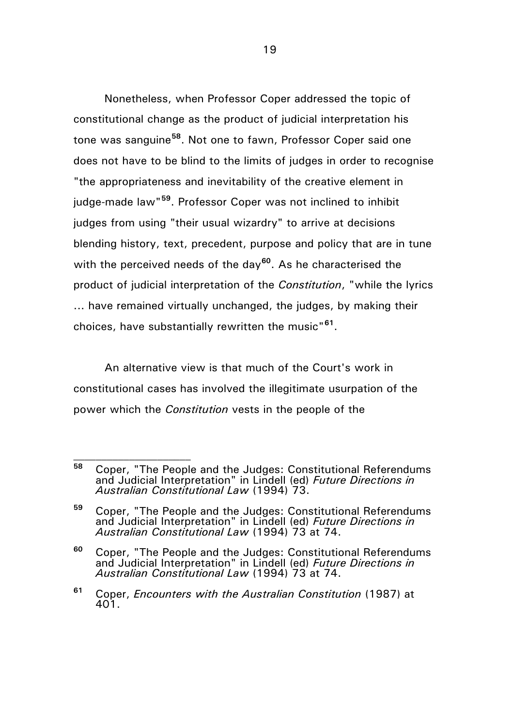Nonetheless, when Professor Coper addressed the topic of constitutional change as the product of judicial interpretation his tone was sanguine**[58](#page-18-0)**. Not one to fawn, Professor Coper said one does not have to be blind to the limits of judges in order to recognise "the appropriateness and inevitability of the creative element in judge-made law"**[59](#page-18-1)**. Professor Coper was not inclined to inhibit judges from using "their usual wizardry" to arrive at decisions blending history, text, precedent, purpose and policy that are in tune with the perceived needs of the day<sup>[60](#page-18-2)</sup>. As he characterised the product of judicial interpretation of the *Constitution*, "while the lyrics ... have remained virtually unchanged, the judges, by making their choices, have substantially rewritten the music"**[61](#page-18-3)**.

An alternative view is that much of the Court's work in constitutional cases has involved the illegitimate usurpation of the power which the *Constitution* vests in the people of the

<span id="page-18-0"></span>**<sup>58</sup>** Coper, "The People and the Judges: Constitutional Referendums and Judicial Interpretation" in Lindell (ed) *Future Directions in Australian Constitutional Law* (1994) 73.

<span id="page-18-1"></span>**<sup>59</sup>** Coper, "The People and the Judges: Constitutional Referendums and Judicial Interpretation" in Lindell (ed) *Future Directions in Australian Constitutional Law* (1994) 73 at 74.

<span id="page-18-2"></span>**<sup>60</sup>** Coper, "The People and the Judges: Constitutional Referendums and Judicial Interpretation" in Lindell (ed) *Future Directions in Australian Constitutional Law* (1994) 73 at 74.

<span id="page-18-3"></span>**<sup>61</sup>** Coper, *Encounters with the Australian Constitution* (1987) at 401.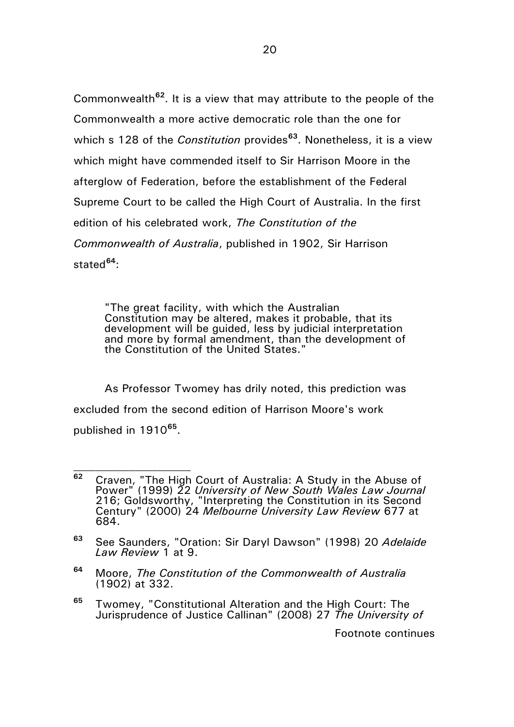Commonwealth**[62](#page-19-0)**. It is a view that may attribute to the people of the Commonwealth a more active democratic role than the one for which s 128 of the *Constitution* provides**[63](#page-19-1)**. Nonetheless, it is a view which might have commended itself to Sir Harrison Moore in the afterglow of Federation, before the establishment of the Federal Supreme Court to be called the High Court of Australia. In the first edition of his celebrated work, *The Constitution of the Commonwealth of Australia*, published in 1902, Sir Harrison stated**[64](#page-19-2)**:

 $20$ 

"The great facility, with which the Australian Constitution may be altered, makes it probable, that its development will be guided, less by judicial interpretation and more by formal amendment, than the development of the Constitution of the United States."

As Professor Twomey has drily noted, this prediction was excluded from the second edition of Harrison Moore's work published in 1910**[65](#page-19-3)**.

 $\mathcal{L}_\text{max}$ 

- <span id="page-19-2"></span>**<sup>64</sup>** Moore, *The Constitution of the Commonwealth of Australia* (1902) at 332.
- <span id="page-19-3"></span>**<sup>65</sup>** Twomey, "Constitutional Alteration and the High Court: The Jurisprudence of Justice Callinan" (2008) 27 *The University of*

Footnote continues

<span id="page-19-0"></span>**<sup>62</sup>** Craven, "The High Court of Australia: A Study in the Abuse of Power" (1999) 22 *University of New South Wales Law Journal*  216; Goldsworthy, "Interpreting the Constitution in its Second Century" (2000) 24 *Melbourne University Law Review* 677 at 684.

<span id="page-19-1"></span>**<sup>63</sup>** See Saunders, "Oration: Sir Daryl Dawson" (1998) 20 *Adelaide Law Review* 1 at 9.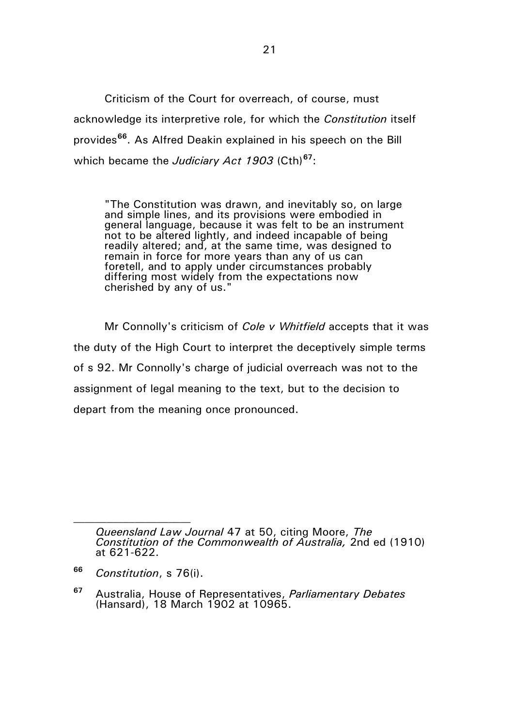Criticism of the Court for overreach, of course, must acknowledge its interpretive role, for which the *Constitution* itself provides**[66](#page-20-0)**. As Alfred Deakin explained in his speech on the Bill which became the *Judiciary Act 1903* (Cth)**[67](#page-20-1)**:

"The Constitution was drawn, and inevitably so, on large and simple lines, and its provisions were embodied in general language, because it was felt to be an instrument not to be altered lightly, and indeed incapable of being readily altered; and, at the same time, was designed to remain in force for more years than any of us can foretell, and to apply under circumstances probably differing most widely from the expectations now cherished by any of us."

Mr Connolly's criticism of *Cole v Whitfield* accepts that it was the duty of the High Court to interpret the deceptively simple terms of s 92. Mr Connolly's charge of judicial overreach was not to the assignment of legal meaning to the text, but to the decision to depart from the meaning once pronounced.

*Queensland Law Journal* 47 at 50, citing Moore, *The Constitution of the Commonwealth of Australia,* 2nd ed (1910) at 621-622.

<span id="page-20-0"></span>**<sup>66</sup>** *Constitution*, s 76(i).

<span id="page-20-1"></span>**<sup>67</sup>** Australia, House of Representatives, *Parliamentary Debates*  (Hansard), 18 March 1902 at 10965.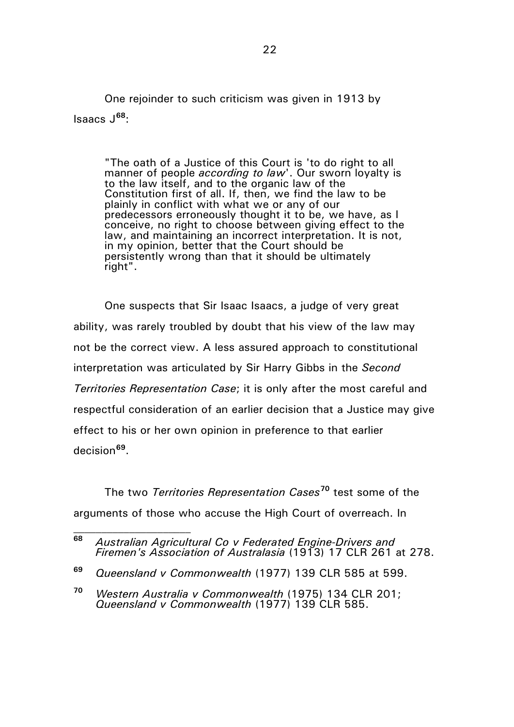One rejoinder to such criticism was given in 1913 by Isaacs J**[68](#page-21-0)**:

"The oath of a Justice of this Court is 'to do right to all manner of people *according to law*'. Our sworn loyalty is to the law itself, and to the organic law of the Constitution first of all. If, then, we find the law to be plainly in conflict with what we or any of our predecessors erroneously thought it to be, we have, as I conceive, no right to choose between giving effect to the law, and maintaining an incorrect interpretation. It is not, in my opinion, better that the Court should be persistently wrong than that it should be ultimately right".

One suspects that Sir Isaac Isaacs, a judge of very great ability, was rarely troubled by doubt that his view of the law may not be the correct view. A less assured approach to constitutional interpretation was articulated by Sir Harry Gibbs in the *Second Territories Representation Case*; it is only after the most careful and respectful consideration of an earlier decision that a Justice may give effect to his or her own opinion in preference to that earlier decision**[69](#page-21-1)**.

The two *Territories Representation Cases***[70](#page-21-2)** test some of the arguments of those who accuse the High Court of overreach. In

<span id="page-21-0"></span>**<sup>68</sup>** *Australian Agricultural Co v Federated Engine-Drivers and Firemen's Association of Australasia* (1913) 17 CLR 261 at 278.

<span id="page-21-1"></span>**<sup>69</sup>** *Queensland v Commonwealth* (1977) 139 CLR 585 at 599.

<span id="page-21-2"></span>**<sup>70</sup>** *Western Australia v Commonwealth* (1975) 134 CLR 201; *Queensland v Commonwealth* (1977) 139 CLR 585.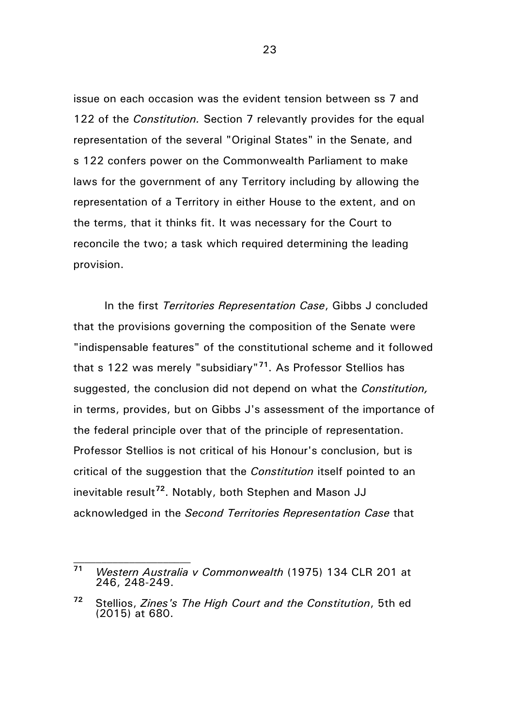issue on each occasion was the evident tension between ss 7 and 122 of the *Constitution.* Section 7 relevantly provides for the equal representation of the several "Original States" in the Senate, and s 122 confers power on the Commonwealth Parliament to make laws for the government of any Territory including by allowing the representation of a Territory in either House to the extent, and on the terms, that it thinks fit. It was necessary for the Court to reconcile the two; a task which required determining the leading provision.

In the first *Territories Representation Case*, Gibbs J concluded that the provisions governing the composition of the Senate were "indispensable features" of the constitutional scheme and it followed that s 122 was merely "subsidiary"**[71](#page-22-0)**. As Professor Stellios has suggested, the conclusion did not depend on what the *Constitution,*  in terms, provides, but on Gibbs J's assessment of the importance of the federal principle over that of the principle of representation. Professor Stellios is not critical of his Honour's conclusion, but is critical of the suggestion that the *Constitution* itself pointed to an inevitable result**[72](#page-22-1)**. Notably, both Stephen and Mason JJ acknowledged in the *Second Territories Representation Case* that

 $\mathcal{L}_\text{max}$ 

<span id="page-22-0"></span>**<sup>71</sup>** *Western Australia v Commonwealth* (1975) 134 CLR 201 at 246, 248-249.

<span id="page-22-1"></span>**<sup>72</sup>** Stellios, *Zines's The High Court and the Constitution*, 5th ed (2015) at 680.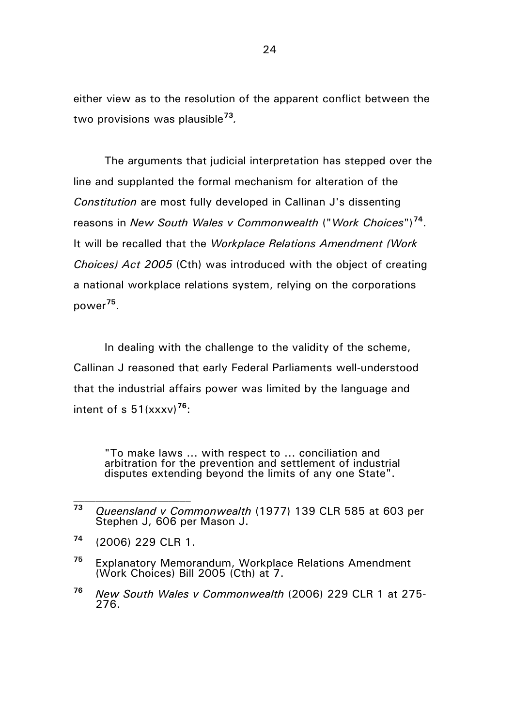either view as to the resolution of the apparent conflict between the two provisions was plausible**[73](#page-23-0)***.*

The arguments that judicial interpretation has stepped over the line and supplanted the formal mechanism for alteration of the *Constitution* are most fully developed in Callinan J's dissenting reasons in *New South Wales v Commonwealth* ("*Work Choices*")**[74](#page-23-1)**. It will be recalled that the *Workplace Relations Amendment (Work Choices) Act 2005* (Cth) was introduced with the object of creating a national workplace relations system, relying on the corporations power**[75](#page-23-2)**.

In dealing with the challenge to the validity of the scheme, Callinan J reasoned that early Federal Parliaments well-understood that the industrial affairs power was limited by the language and intent of s 51(xxxv)**[76](#page-23-3)**:

"To make laws ... with respect to ... conciliation and arbitration for the prevention and settlement of industrial disputes extending beyond the limits of any one State".

<span id="page-23-1"></span>**<sup>74</sup>** (2006) 229 CLR 1.

- <span id="page-23-2"></span>**<sup>75</sup>** Explanatory Memorandum, Workplace Relations Amendment (Work Choices) Bill 2005 (Cth) at 7.
- <span id="page-23-3"></span>**<sup>76</sup>** *New South Wales v Commonwealth* (2006) 229 CLR 1 at 275- 276.

<span id="page-23-0"></span>**<sup>73</sup>** *Queensland v Commonwealth* (1977) 139 CLR 585 at 603 per Stephen J, 606 per Mason J.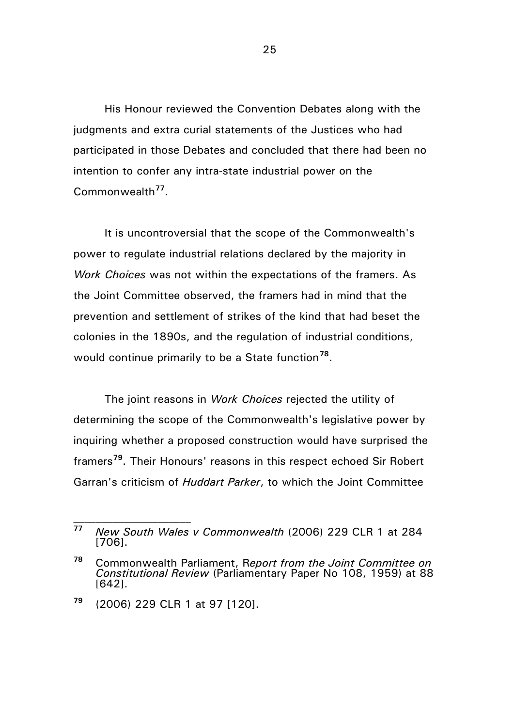His Honour reviewed the Convention Debates along with the judgments and extra curial statements of the Justices who had participated in those Debates and concluded that there had been no intention to confer any intra-state industrial power on the Commonwealth**[77](#page-24-0)**.

It is uncontroversial that the scope of the Commonwealth's power to regulate industrial relations declared by the majority in *Work Choices* was not within the expectations of the framers. As the Joint Committee observed, the framers had in mind that the prevention and settlement of strikes of the kind that had beset the colonies in the 1890s, and the regulation of industrial conditions, would continue primarily to be a State function**[78](#page-24-1)**.

The joint reasons in *Work Choices* rejected the utility of determining the scope of the Commonwealth's legislative power by inquiring whether a proposed construction would have surprised the framers**[79](#page-24-2)**. Their Honours' reasons in this respect echoed Sir Robert Garran's criticism of *Huddart Parker*, to which the Joint Committee

<span id="page-24-0"></span>**<sup>77</sup>** *New South Wales v Commonwealth* (2006) 229 CLR 1 at 284 [706].

<span id="page-24-1"></span>**<sup>78</sup>** Commonwealth Parliament, R*eport from the Joint Committee on Constitutional Review* (Parliamentary Paper No 108, 1959) at 88 [642].

<span id="page-24-2"></span>**<sup>79</sup>** (2006) 229 CLR 1 at 97 [120].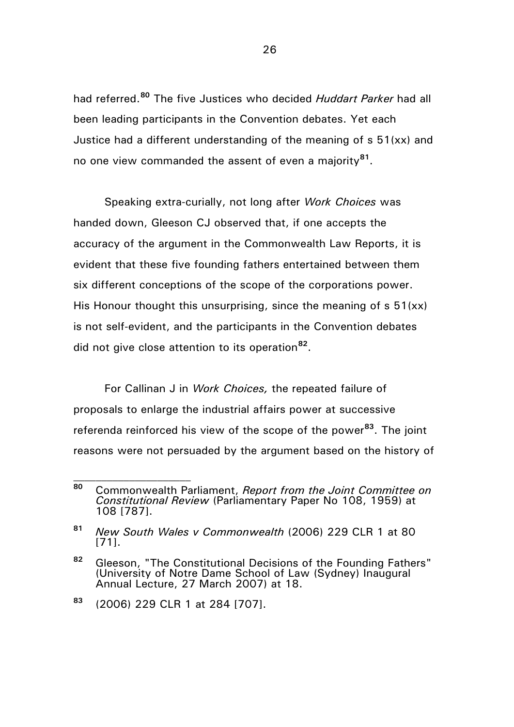had referred.**[80](#page-25-0)** The five Justices who decided *Huddart Parker* had all been leading participants in the Convention debates. Yet each Justice had a different understanding of the meaning of s 51(xx) and no one view commanded the assent of even a majority**[81](#page-25-1)**.

Speaking extra-curially, not long after *Work Choices* was handed down, Gleeson CJ observed that, if one accepts the accuracy of the argument in the Commonwealth Law Reports, it is evident that these five founding fathers entertained between them six different conceptions of the scope of the corporations power. His Honour thought this unsurprising, since the meaning of  $s$  51(xx) is not self-evident, and the participants in the Convention debates did not give close attention to its operation**[82](#page-25-2)**.

For Callinan J in *Work Choices,* the repeated failure of proposals to enlarge the industrial affairs power at successive referenda reinforced his view of the scope of the power**[83](#page-25-3)**. The joint reasons were not persuaded by the argument based on the history of

<span id="page-25-0"></span>**<sup>80</sup>** Commonwealth Parliament, *Report from the Joint Committee on Constitutional Review* (Parliamentary Paper No 108, 1959) at 108 [787].

<span id="page-25-1"></span>**<sup>81</sup>** *New South Wales v Commonwealth* (2006) 229 CLR 1 at 80 [71].

<span id="page-25-2"></span>**<sup>82</sup>** Gleeson, "The Constitutional Decisions of the Founding Fathers" (University of Notre Dame School of Law (Sydney) Inaugural Annual Lecture, 27 March 2007) at 18.

<span id="page-25-3"></span>**<sup>83</sup>** (2006) 229 CLR 1 at 284 [707].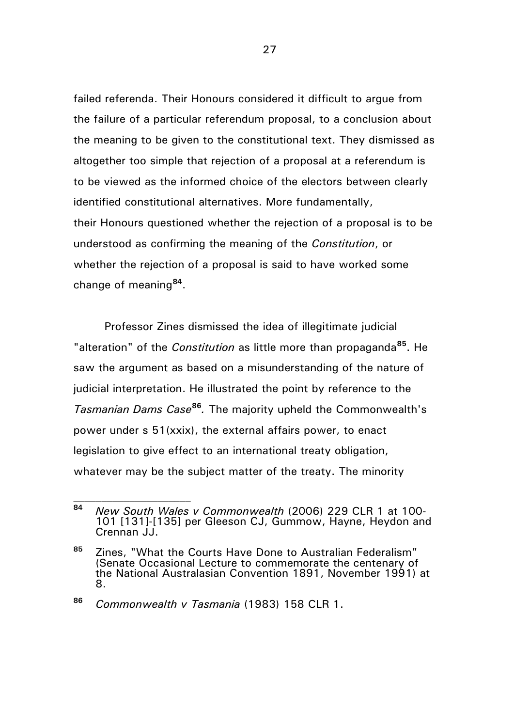failed referenda. Their Honours considered it difficult to argue from the failure of a particular referendum proposal, to a conclusion about the meaning to be given to the constitutional text. They dismissed as altogether too simple that rejection of a proposal at a referendum is to be viewed as the informed choice of the electors between clearly identified constitutional alternatives. More fundamentally, their Honours questioned whether the rejection of a proposal is to be understood as confirming the meaning of the *Constitution*, or whether the rejection of a proposal is said to have worked some change of meaning**[84](#page-26-0)**.

Professor Zines dismissed the idea of illegitimate judicial "alteration" of the *Constitution* as little more than propaganda**[85](#page-26-1)**. He saw the argument as based on a misunderstanding of the nature of judicial interpretation. He illustrated the point by reference to the *Tasmanian Dams Case***[86](#page-26-2)***.* The majority upheld the Commonwealth's power under s 51(xxix), the external affairs power, to enact legislation to give effect to an international treaty obligation, whatever may be the subject matter of the treaty. The minority

 $\mathcal{L}_\text{max}$ 

<span id="page-26-0"></span>**<sup>84</sup>** *New South Wales v Commonwealth* (2006) 229 CLR 1 at 100- <sup>101</sup> [131]-[135] per Gleeson CJ, Gummow, Hayne, Heydon and Crennan JJ.

<span id="page-26-1"></span>**<sup>85</sup>** Zines, "What the Courts Have Done to Australian Federalism" (Senate Occasional Lecture to commemorate the centenary of the National Australasian Convention 1891, November 1991) at 8.

<span id="page-26-2"></span>**<sup>86</sup>** *Commonwealth v Tasmania* (1983) 158 CLR 1.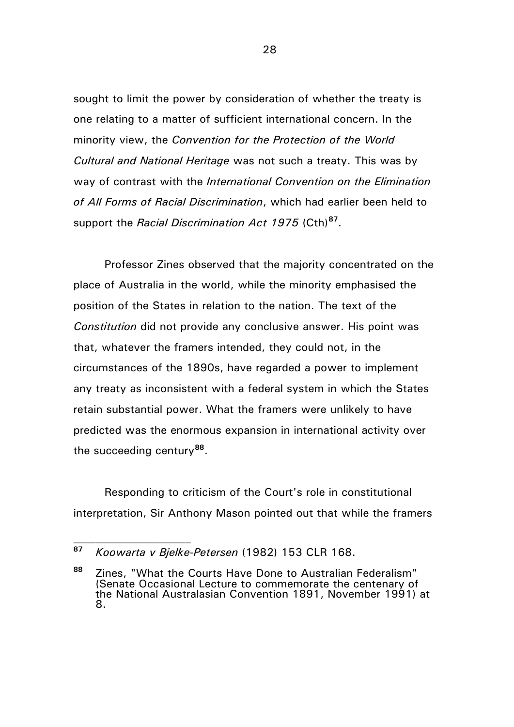sought to limit the power by consideration of whether the treaty is one relating to a matter of sufficient international concern. In the minority view, the *Convention for the Protection of the World Cultural and National Heritage* was not such a treaty. This was by way of contrast with the *International Convention on the Elimination of All Forms of Racial Discrimination*, which had earlier been held to support the *Racial Discrimination Act 1975* (Cth)**[87](#page-27-0)**.

Professor Zines observed that the majority concentrated on the place of Australia in the world, while the minority emphasised the position of the States in relation to the nation. The text of the *Constitution* did not provide any conclusive answer. His point was that, whatever the framers intended, they could not, in the circumstances of the 1890s, have regarded a power to implement any treaty as inconsistent with a federal system in which the States retain substantial power. What the framers were unlikely to have predicted was the enormous expansion in international activity over the succeeding century**[88](#page-27-1)**.

Responding to criticism of the Court's role in constitutional interpretation, Sir Anthony Mason pointed out that while the framers

<span id="page-27-0"></span>**<sup>87</sup>** *Koowarta v Bjelke-Petersen* (1982) 153 CLR 168.

<span id="page-27-1"></span>**<sup>88</sup>** Zines, "What the Courts Have Done to Australian Federalism" (Senate Occasional Lecture to commemorate the centenary of the National Australasian Convention 1891, November 1991) at 8.